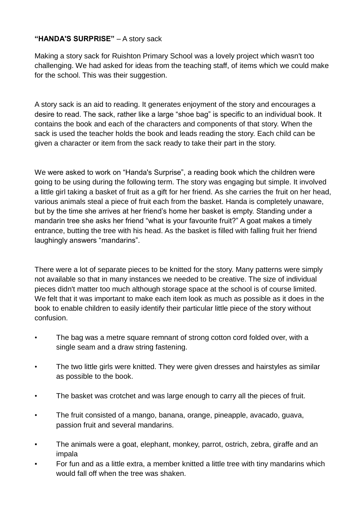## **"HANDA'S SURPRISE"** – A story sack

Making a story sack for Ruishton Primary School was a lovely project which wasn't too challenging. We had asked for ideas from the teaching staff, of items which we could make for the school. This was their suggestion.

A story sack is an aid to reading. It generates enjoyment of the story and encourages a desire to read. The sack, rather like a large "shoe bag" is specific to an individual book. It contains the book and each of the characters and components of that story. When the sack is used the teacher holds the book and leads reading the story. Each child can be given a character or item from the sack ready to take their part in the story.

We were asked to work on "Handa's Surprise", a reading book which the children were going to be using during the following term. The story was engaging but simple. It involved a little girl taking a basket of fruit as a gift for her friend. As she carries the fruit on her head, various animals steal a piece of fruit each from the basket. Handa is completely unaware, but by the time she arrives at her friend's home her basket is empty. Standing under a mandarin tree she asks her friend "what is your favourite fruit?" A goat makes a timely entrance, butting the tree with his head. As the basket is filled with falling fruit her friend laughingly answers "mandarins".

There were a lot of separate pieces to be knitted for the story. Many patterns were simply not available so that in many instances we needed to be creative. The size of individual pieces didn't matter too much although storage space at the school is of course limited. We felt that it was important to make each item look as much as possible as it does in the book to enable children to easily identify their particular little piece of the story without confusion.

- The bag was a metre square remnant of strong cotton cord folded over, with a single seam and a draw string fastening.
- The two little girls were knitted. They were given dresses and hairstyles as similar as possible to the book.
- The basket was crotchet and was large enough to carry all the pieces of fruit.
- The fruit consisted of a mango, banana, orange, pineapple, avacado, guava, passion fruit and several mandarins.
- The animals were a goat, elephant, monkey, parrot, ostrich, zebra, giraffe and an impala
- For fun and as a little extra, a member knitted a little tree with tiny mandarins which would fall off when the tree was shaken.